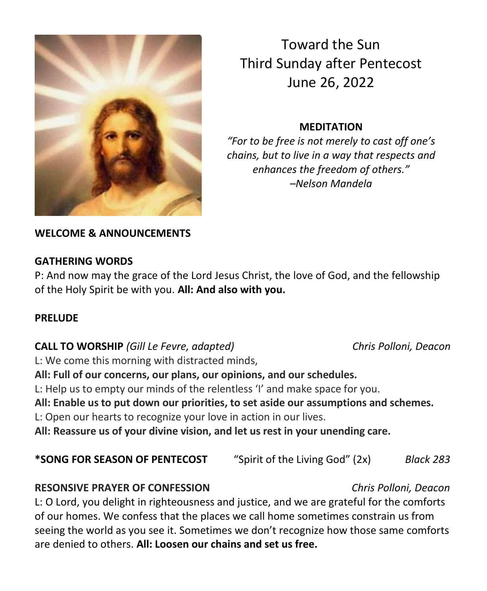

Toward the Sun Third Sunday after Pentecost June 26, 2022

### **MEDITATION**

*"For to be free is not merely to cast off one's chains, but to live in a way that respects and enhances the freedom of others." –Nelson Mandela*

### **WELCOME & ANNOUNCEMENTS**

### **GATHERING WORDS**

P: And now may the grace of the Lord Jesus Christ, the love of God, and the fellowship of the Holy Spirit be with you. **All: And also with you.** 

### **PRELUDE**

### **CALL TO WORSHIP** *(Gill Le Fevre, adapted) Chris Polloni, Deacon*

L: We come this morning with distracted minds,

**All: Full of our concerns, our plans, our opinions, and our schedules.**

L: Help us to empty our minds of the relentless 'I' and make space for you.

**All: Enable us to put down our priorities, to set aside our assumptions and schemes.**

L: Open our hearts to recognize your love in action in our lives.

**All: Reassure us of your divine vision, and let us rest in your unending care.**

| *SONG FOR SEASON OF PENTECOST | "Spirit of the Living God" (2x) | Black 283 |
|-------------------------------|---------------------------------|-----------|
|-------------------------------|---------------------------------|-----------|

### **RESONSIVE PRAYER OF CONFESSION** *Chris Polloni, Deacon*

L: O Lord, you delight in righteousness and justice, and we are grateful for the comforts of our homes. We confess that the places we call home sometimes constrain us from seeing the world as you see it. Sometimes we don't recognize how those same comforts are denied to others. **All: Loosen our chains and set us free.**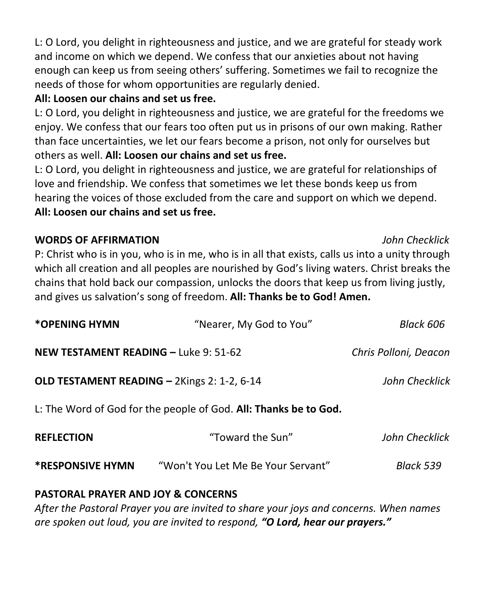L: O Lord, you delight in righteousness and justice, and we are grateful for steady work and income on which we depend. We confess that our anxieties about not having enough can keep us from seeing others' suffering. Sometimes we fail to recognize the needs of those for whom opportunities are regularly denied.

## **All: Loosen our chains and set us free.**

L: O Lord, you delight in righteousness and justice, we are grateful for the freedoms we enjoy. We confess that our fears too often put us in prisons of our own making. Rather than face uncertainties, we let our fears become a prison, not only for ourselves but others as well. **All: Loosen our chains and set us free.**

L: O Lord, you delight in righteousness and justice, we are grateful for relationships of love and friendship. We confess that sometimes we let these bonds keep us from hearing the voices of those excluded from the care and support on which we depend. **All: Loosen our chains and set us free.**

## **WORDS OF AFFIRMATION** *John Checklick*

## P: Christ who is in you, who is in me, who is in all that exists, calls us into a unity through which all creation and all peoples are nourished by God's living waters. Christ breaks the chains that hold back our compassion, unlocks the doors that keep us from living justly, and gives us salvation's song of freedom. **All: Thanks be to God! Amen.**

| *OPENING HYMN                                                    | "Nearer, My God to You"            | Black 606             |  |  |
|------------------------------------------------------------------|------------------------------------|-----------------------|--|--|
| <b>NEW TESTAMENT READING - Luke 9: 51-62</b>                     |                                    | Chris Polloni, Deacon |  |  |
| OLD TESTAMENT READING - 2Kings 2: 1-2, 6-14                      | John Checklick                     |                       |  |  |
| L: The Word of God for the people of God. All: Thanks be to God. |                                    |                       |  |  |
| <b>REFLECTION</b>                                                | "Toward the Sun"                   | John Checklick        |  |  |
| <b>*RESPONSIVE HYMN</b>                                          | "Won't You Let Me Be Your Servant" | Black 539             |  |  |

# **PASTORAL PRAYER AND JOY & CONCERNS**

*After the Pastoral Prayer you are invited to share your joys and concerns. When names are spoken out loud, you are invited to respond, "O Lord, hear our prayers."*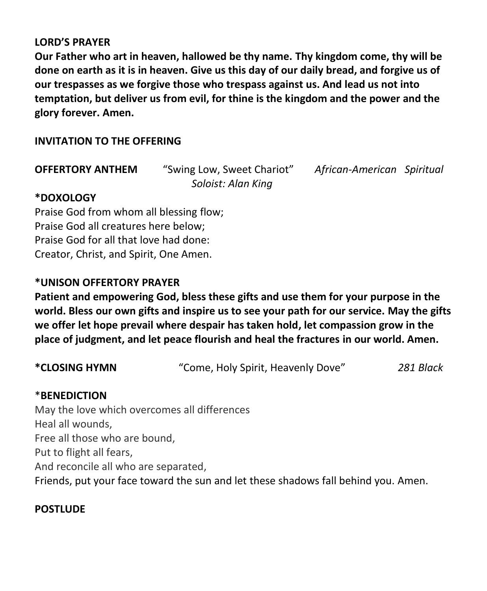#### **LORD'S PRAYER**

**Our Father who art in heaven, hallowed be thy name. Thy kingdom come, thy will be done on earth as it is in heaven. Give us this day of our daily bread, and forgive us of our trespasses as we forgive those who trespass against us. And lead us not into temptation, but deliver us from evil, for thine is the kingdom and the power and the glory forever. Amen.**

### **INVITATION TO THE OFFERING**

| <b>OFFERTORY ANTHEM</b> | "Swing Low, Sweet Chariot" |  |
|-------------------------|----------------------------|--|
|                         | Soloist: Alan King         |  |

**OFFERTORY ANTHEM** "Swing Low, Sweet Chariot" *African-American Spiritual*

### **\*DOXOLOGY**

Praise God from whom all blessing flow; Praise God all creatures here below; Praise God for all that love had done: Creator, Christ, and Spirit, One Amen.

### **\*UNISON OFFERTORY PRAYER**

**Patient and empowering God, bless these gifts and use them for your purpose in the world. Bless our own gifts and inspire us to see your path for our service. May the gifts we offer let hope prevail where despair has taken hold, let compassion grow in the place of judgment, and let peace flourish and heal the fractures in our world. Amen.**

| *CLOSING HYMN | "Come, Holy Spirit, Heavenly Dove" | 281 Black |
|---------------|------------------------------------|-----------|
|---------------|------------------------------------|-----------|

#### \***BENEDICTION**

May the love which overcomes all differences Heal all wounds, Free all those who are bound, Put to flight all fears, And reconcile all who are separated, Friends, put your face toward the sun and let these shadows fall behind you. Amen.

#### **POSTLUDE**